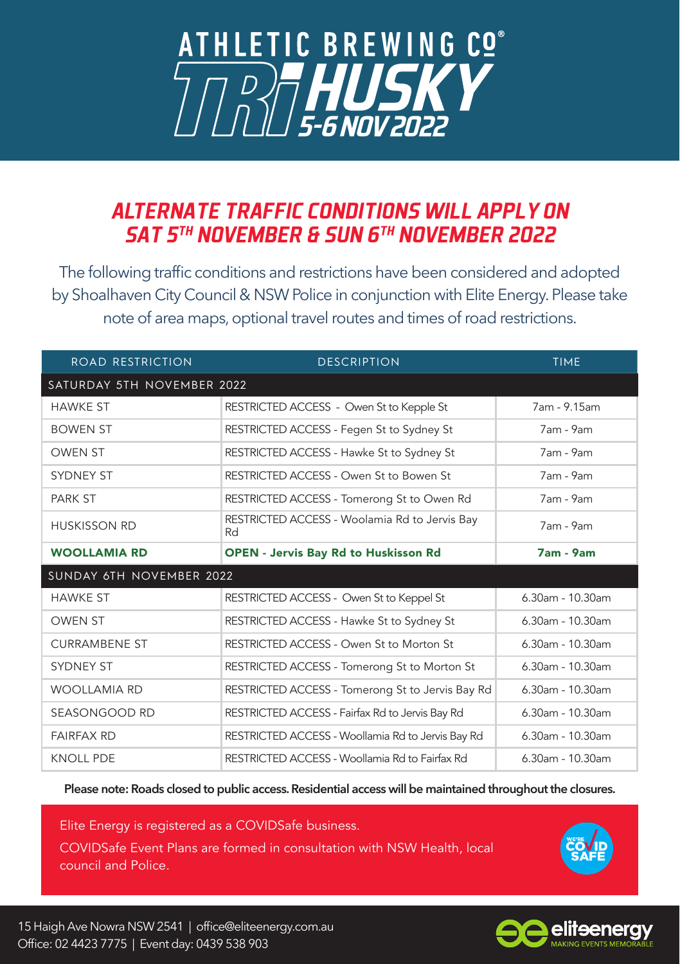## **ATHLETIC BREWING CO®** *D***<sub>7</sub> HUSKY**

## *ALTERNATE TRAFFIC CONDITIONS WILL APPLY ON SAT 5TH NOVEMBER & SUN 6TH NOVEMBER 2022*

The following traffic conditions and restrictions have been considered and adopted by Shoalhaven City Council & NSW Police in conjunction with Elite Energy. Please take note of area maps, optional travel routes and times of road restrictions.

| ROAD RESTRICTION           | <b>DESCRIPTION</b>                                  | <b>TIME</b>         |
|----------------------------|-----------------------------------------------------|---------------------|
| SATURDAY 5TH NOVEMBER 2022 |                                                     |                     |
| <b>HAWKE ST</b>            | RESTRICTED ACCESS - Owen St to Kepple St            | 7am - 9.15am        |
| <b>BOWEN ST</b>            | RESTRICTED ACCESS - Fegen St to Sydney St           | 7am - 9am           |
| <b>OWEN ST</b>             | RESTRICTED ACCESS - Hawke St to Sydney St           | 7am - 9am           |
| <b>SYDNEY ST</b>           | RESTRICTED ACCESS - Owen St to Bowen St             | 7am - 9am           |
| <b>PARK ST</b>             | RESTRICTED ACCESS - Tomerong St to Owen Rd          | 7am - 9am           |
| <b>HUSKISSON RD</b>        | RESTRICTED ACCESS - Woolamia Rd to Jervis Bay<br>Rd | 7am - 9am           |
| <b>WOOLLAMIA RD</b>        | <b>OPEN - Jervis Bay Rd to Huskisson Rd</b>         | <b>7am - 9am</b>    |
| SUNDAY 6TH NOVEMBER 2022   |                                                     |                     |
| <b>HAWKE ST</b>            | RESTRICTED ACCESS - Owen St to Keppel St            | $6.30$ am - 10.30am |
| <b>OWEN ST</b>             | RESTRICTED ACCESS - Hawke St to Sydney St           | $6.30$ am - 10.30am |
| <b>CURRAMBENE ST</b>       | RESTRICTED ACCESS - Owen St to Morton St            | $6.30$ am - 10.30am |
| <b>SYDNEY ST</b>           | RESTRICTED ACCESS - Tomerong St to Morton St        | $6.30$ am - 10.30am |
| <b>WOOLLAMIA RD</b>        | RESTRICTED ACCESS - Tomerong St to Jervis Bay Rd    | 6.30am - 10.30am    |
| SEASONGOOD RD              | RESTRICTED ACCESS - Fairfax Rd to Jervis Bay Rd     | 6.30am - 10.30am    |
| <b>FAIRFAX RD</b>          | RESTRICTED ACCESS - Woollamia Rd to Jervis Bay Rd   | $6.30$ am - 10.30am |
| <b>KNOLL PDE</b>           | RESTRICTED ACCESS - Woollamia Rd to Fairfax Rd      | $6.30$ am - 10.30am |

**Please note: Roads closed to public access. Residential access will be maintained throughout the closures.**

Elite Energy is registered as a COVIDSafe business.

COVIDSafe Event Plans are formed in consultation with NSW Health, local council and Police.